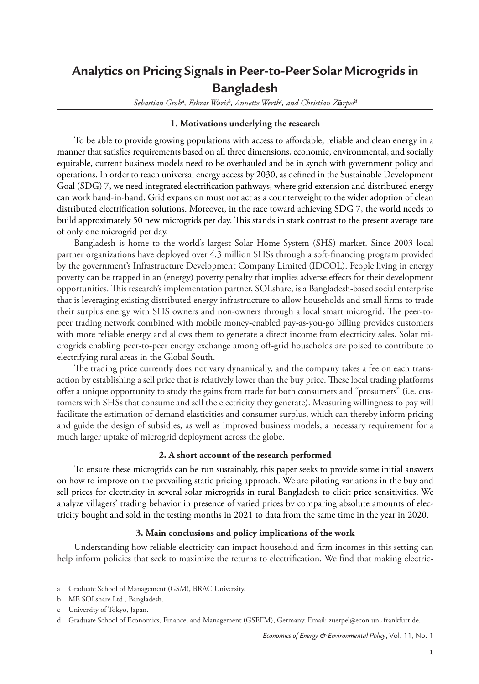## **Analytics on Pricing Signals in Peer-to-Peer Solar Microgrids in Bangladesh**

*Sebastian Groh<sup>a</sup> , Eshrat Waris<sup>b</sup> , Annette Werth<sup>c</sup> , and Christian Z***ü***rpel<sup>d</sup>*

## **1. Motivations underlying the research**

To be able to provide growing populations with access to affordable, reliable and clean energy in a manner that satisfies requirements based on all three dimensions, economic, environmental, and socially equitable, current business models need to be overhauled and be in synch with government policy and operations. In order to reach universal energy access by 2030, as defined in the Sustainable Development Goal (SDG) 7, we need integrated electrification pathways, where grid extension and distributed energy can work hand-in-hand. Grid expansion must not act as a counterweight to the wider adoption of clean distributed electrification solutions. Moreover, in the race toward achieving SDG 7, the world needs to build approximately 50 new microgrids per day. This stands in stark contrast to the present average rate of only one microgrid per day.

Bangladesh is home to the world's largest Solar Home System (SHS) market. Since 2003 local partner organizations have deployed over 4.3 million SHSs through a soft-financing program provided by the government's Infrastructure Development Company Limited (IDCOL). People living in energy poverty can be trapped in an (energy) poverty penalty that implies adverse effects for their development opportunities. This research's implementation partner, SOLshare, is a Bangladesh-based social enterprise that is leveraging existing distributed energy infrastructure to allow households and small firms to trade their surplus energy with SHS owners and non-owners through a local smart microgrid. The peer-topeer trading network combined with mobile money-enabled pay-as-you-go billing provides customers with more reliable energy and allows them to generate a direct income from electricity sales. Solar microgrids enabling peer-to-peer energy exchange among off-grid households are poised to contribute to electrifying rural areas in the Global South.

The trading price currently does not vary dynamically, and the company takes a fee on each transaction by establishing a sell price that is relatively lower than the buy price. These local trading platforms offer a unique opportunity to study the gains from trade for both consumers and "prosumers" (i.e. customers with SHSs that consume and sell the electricity they generate). Measuring willingness to pay will facilitate the estimation of demand elasticities and consumer surplus, which can thereby inform pricing and guide the design of subsidies, as well as improved business models, a necessary requirement for a much larger uptake of microgrid deployment across the globe.

## **2. A short account of the research performed**

To ensure these microgrids can be run sustainably, this paper seeks to provide some initial answers on how to improve on the prevailing static pricing approach. We are piloting variations in the buy and sell prices for electricity in several solar microgrids in rural Bangladesh to elicit price sensitivities. We analyze villagers' trading behavior in presence of varied prices by comparing absolute amounts of electricity bought and sold in the testing months in 2021 to data from the same time in the year in 2020.

## **3. Main conclusions and policy implications of the work**

Understanding how reliable electricity can impact household and firm incomes in this setting can help inform policies that seek to maximize the returns to electrification. We find that making electric-

**1**

a Graduate School of Management (GSM), BRAC University.

b ME SOLshare Ltd., Bangladesh.

c University of Tokyo, Japan.

d Graduate School of Economics, Finance, and Management (GSEFM), Germany, Email: zuerpel@econ.uni-frankfurt.de.